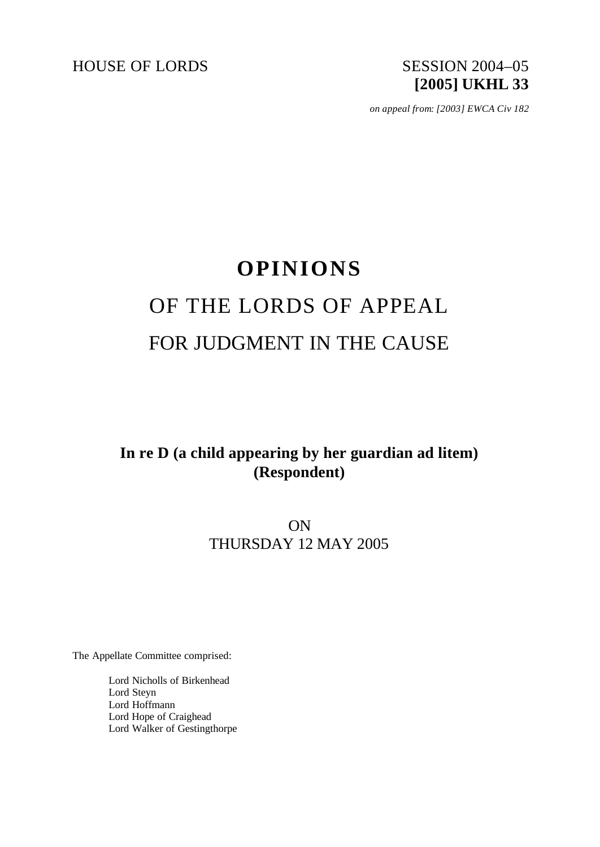

*on appeal from: [2003] EWCA Civ 182*

# **OPINIONS** OF THE LORDS OF APPEAL FOR JUDGMENT IN THE CAUSE

# **In re D (a child appearing by her guardian ad litem) (Respondent)**

# ON THURSDAY 12 MAY 2005

The Appellate Committee comprised:

Lord Nicholls of Birkenhead Lord Steyn Lord Hoffmann Lord Hope of Craighead Lord Walker of Gestingthorpe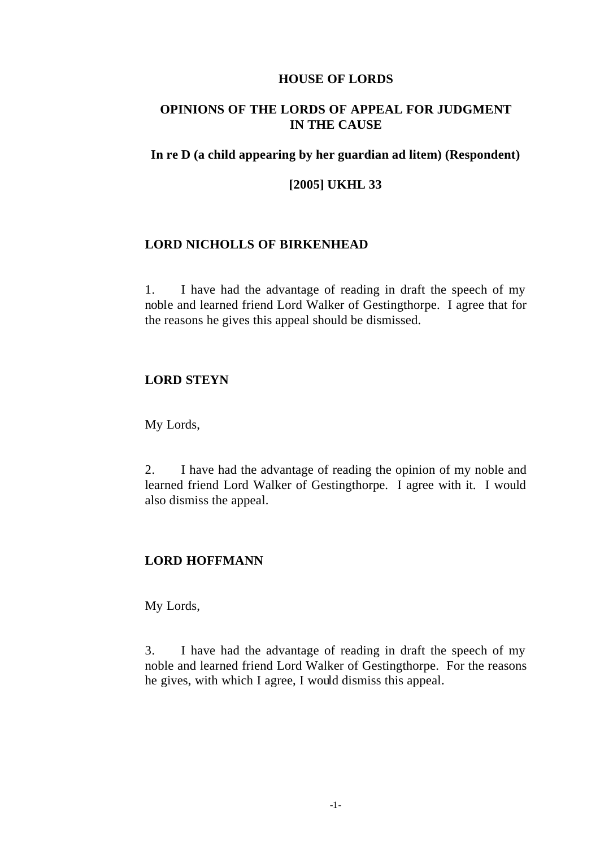#### **HOUSE OF LORDS**

# **OPINIONS OF THE LORDS OF APPEAL FOR JUDGMENT IN THE CAUSE**

#### **In re D (a child appearing by her guardian ad litem) (Respondent)**

## **[2005] UKHL 33**

#### **LORD NICHOLLS OF BIRKENHEAD**

1. I have had the advantage of reading in draft the speech of my noble and learned friend Lord Walker of Gestingthorpe. I agree that for the reasons he gives this appeal should be dismissed.

# **LORD STEYN**

My Lords,

2. I have had the advantage of reading the opinion of my noble and learned friend Lord Walker of Gestingthorpe. I agree with it. I would also dismiss the appeal.

#### **LORD HOFFMANN**

My Lords,

3. I have had the advantage of reading in draft the speech of my noble and learned friend Lord Walker of Gestingthorpe. For the reasons he gives, with which I agree, I would dismiss this appeal.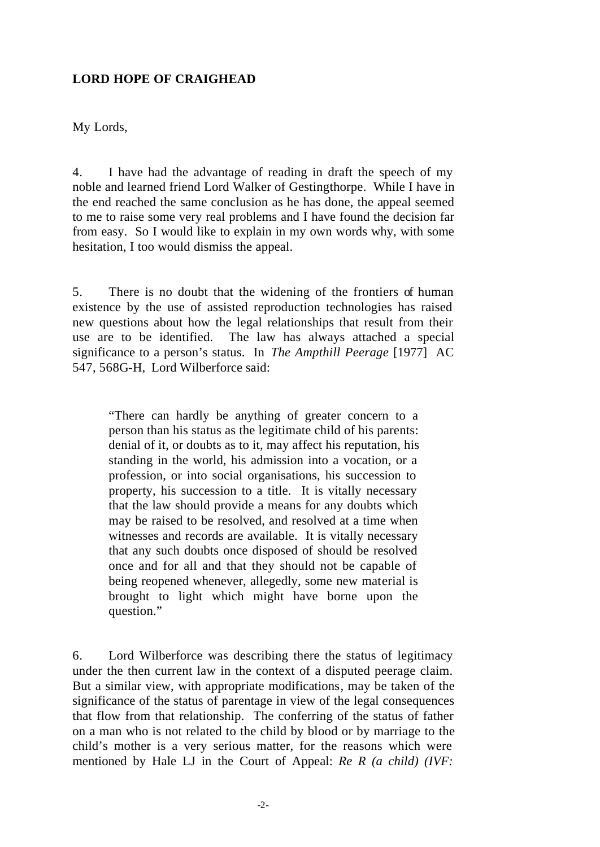# **LORD HOPE OF CRAIGHEAD**

My Lords,

4. I have had the advantage of reading in draft the speech of my noble and learned friend Lord Walker of Gestingthorpe. While I have in the end reached the same conclusion as he has done, the appeal seemed to me to raise some very real problems and I have found the decision far from easy. So I would like to explain in my own words why, with some hesitation, I too would dismiss the appeal.

5. There is no doubt that the widening of the frontiers of human existence by the use of assisted reproduction technologies has raised new questions about how the legal relationships that result from their use are to be identified. The law has always attached a special significance to a person's status. In *The Ampthill Peerage* [1977] AC 547, 568G-H, Lord Wilberforce said:

"There can hardly be anything of greater concern to a person than his status as the legitimate child of his parents: denial of it, or doubts as to it, may affect his reputation, his standing in the world, his admission into a vocation, or a profession, or into social organisations, his succession to property, his succession to a title. It is vitally necessary that the law should provide a means for any doubts which may be raised to be resolved, and resolved at a time when witnesses and records are available. It is vitally necessary that any such doubts once disposed of should be resolved once and for all and that they should not be capable of being reopened whenever, allegedly, some new material is brought to light which might have borne upon the question."

6. Lord Wilberforce was describing there the status of legitimacy under the then current law in the context of a disputed peerage claim. But a similar view, with appropriate modifications, may be taken of the significance of the status of parentage in view of the legal consequences that flow from that relationship. The conferring of the status of father on a man who is not related to the child by blood or by marriage to the child's mother is a very serious matter, for the reasons which were mentioned by Hale LJ in the Court of Appeal: *Re R (a child) (IVF:*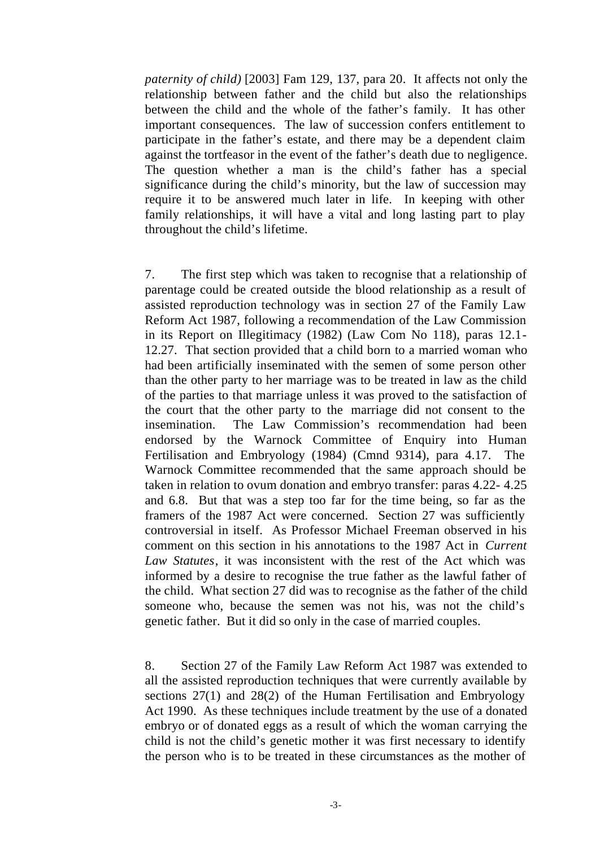*paternity of child)* [2003] Fam 129, 137, para 20. It affects not only the relationship between father and the child but also the relationships between the child and the whole of the father's family. It has other important consequences. The law of succession confers entitlement to participate in the father's estate, and there may be a dependent claim against the tortfeasor in the event of the father's death due to negligence. The question whether a man is the child's father has a special significance during the child's minority, but the law of succession may require it to be answered much later in life. In keeping with other family relationships, it will have a vital and long lasting part to play throughout the child's lifetime.

7. The first step which was taken to recognise that a relationship of parentage could be created outside the blood relationship as a result of assisted reproduction technology was in section 27 of the Family Law Reform Act 1987, following a recommendation of the Law Commission in its Report on Illegitimacy (1982) (Law Com No 118), paras 12.1- 12.27. That section provided that a child born to a married woman who had been artificially inseminated with the semen of some person other than the other party to her marriage was to be treated in law as the child of the parties to that marriage unless it was proved to the satisfaction of the court that the other party to the marriage did not consent to the insemination. The Law Commission's recommendation had been endorsed by the Warnock Committee of Enquiry into Human Fertilisation and Embryology (1984) (Cmnd 9314), para 4.17. The Warnock Committee recommended that the same approach should be taken in relation to ovum donation and embryo transfer: paras 4.22- 4.25 and 6.8. But that was a step too far for the time being, so far as the framers of the 1987 Act were concerned. Section 27 was sufficiently controversial in itself. As Professor Michael Freeman observed in his comment on this section in his annotations to the 1987 Act in *Current Law Statutes*, it was inconsistent with the rest of the Act which was informed by a desire to recognise the true father as the lawful father of the child. What section 27 did was to recognise as the father of the child someone who, because the semen was not his, was not the child's genetic father. But it did so only in the case of married couples.

8. Section 27 of the Family Law Reform Act 1987 was extended to all the assisted reproduction techniques that were currently available by sections 27(1) and 28(2) of the Human Fertilisation and Embryology Act 1990. As these techniques include treatment by the use of a donated embryo or of donated eggs as a result of which the woman carrying the child is not the child's genetic mother it was first necessary to identify the person who is to be treated in these circumstances as the mother of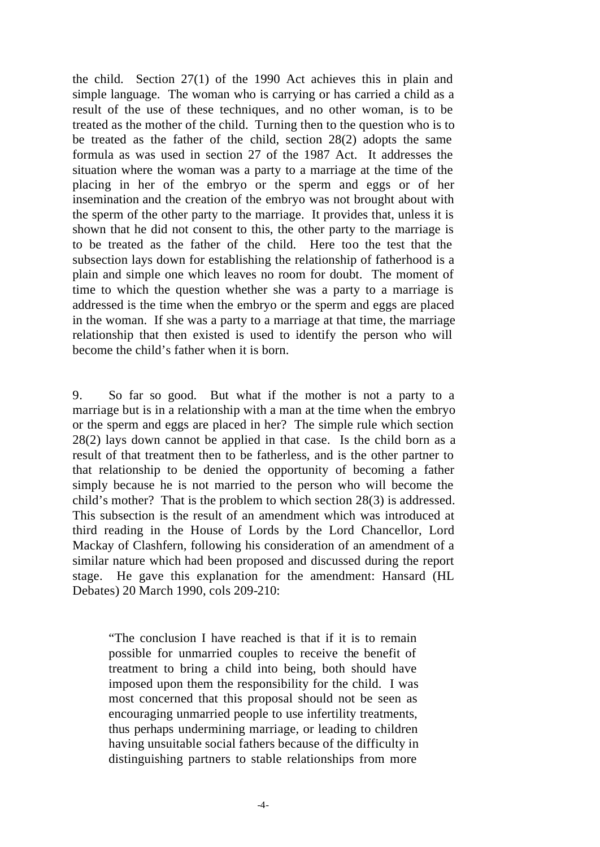the child. Section 27(1) of the 1990 Act achieves this in plain and simple language. The woman who is carrying or has carried a child as a result of the use of these techniques, and no other woman, is to be treated as the mother of the child. Turning then to the question who is to be treated as the father of the child, section 28(2) adopts the same formula as was used in section 27 of the 1987 Act. It addresses the situation where the woman was a party to a marriage at the time of the placing in her of the embryo or the sperm and eggs or of her insemination and the creation of the embryo was not brought about with the sperm of the other party to the marriage. It provides that, unless it is shown that he did not consent to this, the other party to the marriage is to be treated as the father of the child. Here too the test that the subsection lays down for establishing the relationship of fatherhood is a plain and simple one which leaves no room for doubt. The moment of time to which the question whether she was a party to a marriage is addressed is the time when the embryo or the sperm and eggs are placed in the woman. If she was a party to a marriage at that time, the marriage relationship that then existed is used to identify the person who will become the child's father when it is born.

9. So far so good. But what if the mother is not a party to a marriage but is in a relationship with a man at the time when the embryo or the sperm and eggs are placed in her? The simple rule which section 28(2) lays down cannot be applied in that case. Is the child born as a result of that treatment then to be fatherless, and is the other partner to that relationship to be denied the opportunity of becoming a father simply because he is not married to the person who will become the child's mother? That is the problem to which section 28(3) is addressed. This subsection is the result of an amendment which was introduced at third reading in the House of Lords by the Lord Chancellor, Lord Mackay of Clashfern, following his consideration of an amendment of a similar nature which had been proposed and discussed during the report stage. He gave this explanation for the amendment: Hansard (HL Debates) 20 March 1990, cols 209-210:

"The conclusion I have reached is that if it is to remain possible for unmarried couples to receive the benefit of treatment to bring a child into being, both should have imposed upon them the responsibility for the child. I was most concerned that this proposal should not be seen as encouraging unmarried people to use infertility treatments, thus perhaps undermining marriage, or leading to children having unsuitable social fathers because of the difficulty in distinguishing partners to stable relationships from more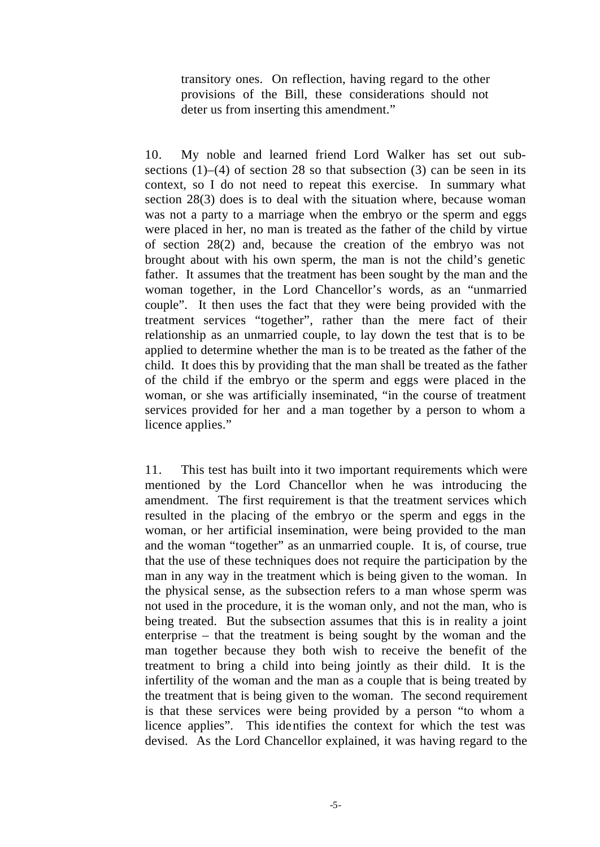transitory ones. On reflection, having regard to the other provisions of the Bill, these considerations should not deter us from inserting this amendment."

10. My noble and learned friend Lord Walker has set out subsections  $(1)$ – $(4)$  of section 28 so that subsection  $(3)$  can be seen in its context, so I do not need to repeat this exercise. In summary what section 28(3) does is to deal with the situation where, because woman was not a party to a marriage when the embryo or the sperm and eggs were placed in her, no man is treated as the father of the child by virtue of section 28(2) and, because the creation of the embryo was not brought about with his own sperm, the man is not the child's genetic father. It assumes that the treatment has been sought by the man and the woman together, in the Lord Chancellor's words, as an "unmarried couple". It then uses the fact that they were being provided with the treatment services "together", rather than the mere fact of their relationship as an unmarried couple, to lay down the test that is to be applied to determine whether the man is to be treated as the father of the child. It does this by providing that the man shall be treated as the father of the child if the embryo or the sperm and eggs were placed in the woman, or she was artificially inseminated, "in the course of treatment services provided for her and a man together by a person to whom a licence applies."

11. This test has built into it two important requirements which were mentioned by the Lord Chancellor when he was introducing the amendment. The first requirement is that the treatment services which resulted in the placing of the embryo or the sperm and eggs in the woman, or her artificial insemination, were being provided to the man and the woman "together" as an unmarried couple. It is, of course, true that the use of these techniques does not require the participation by the man in any way in the treatment which is being given to the woman. In the physical sense, as the subsection refers to a man whose sperm was not used in the procedure, it is the woman only, and not the man, who is being treated. But the subsection assumes that this is in reality a joint enterprise – that the treatment is being sought by the woman and the man together because they both wish to receive the benefit of the treatment to bring a child into being jointly as their child. It is the infertility of the woman and the man as a couple that is being treated by the treatment that is being given to the woman. The second requirement is that these services were being provided by a person "to whom a licence applies". This identifies the context for which the test was devised. As the Lord Chancellor explained, it was having regard to the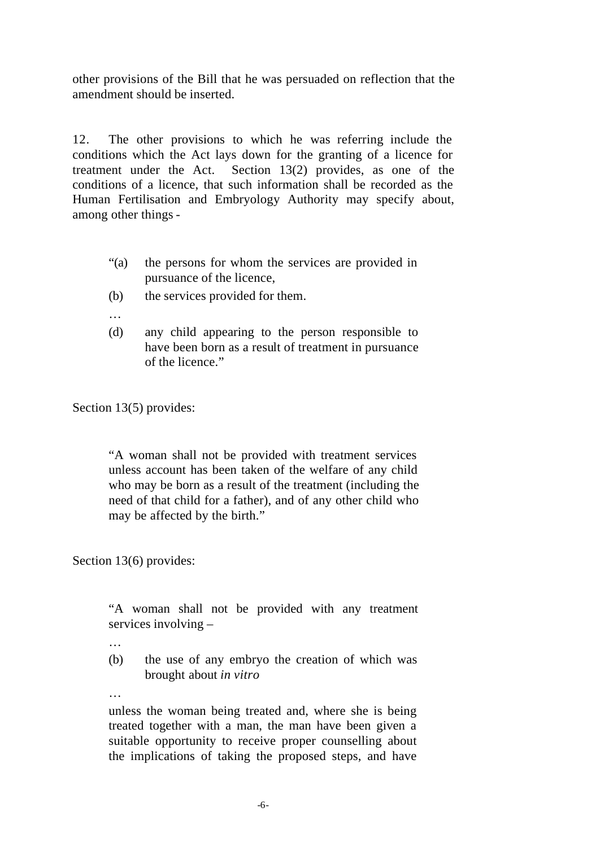other provisions of the Bill that he was persuaded on reflection that the amendment should be inserted.

12. The other provisions to which he was referring include the conditions which the Act lays down for the granting of a licence for treatment under the Act. Section 13(2) provides, as one of the conditions of a licence, that such information shall be recorded as the Human Fertilisation and Embryology Authority may specify about, among other things -

- "(a) the persons for whom the services are provided in pursuance of the licence,
- (b) the services provided for them.
- …
- (d) any child appearing to the person responsible to have been born as a result of treatment in pursuance of the licence."

Section 13(5) provides:

"A woman shall not be provided with treatment services unless account has been taken of the welfare of any child who may be born as a result of the treatment (including the need of that child for a father), and of any other child who may be affected by the birth."

Section 13(6) provides:

"A woman shall not be provided with any treatment services involving –

- …
- (b) the use of any embryo the creation of which was brought about *in vitro*
- …

unless the woman being treated and, where she is being treated together with a man, the man have been given a suitable opportunity to receive proper counselling about the implications of taking the proposed steps, and have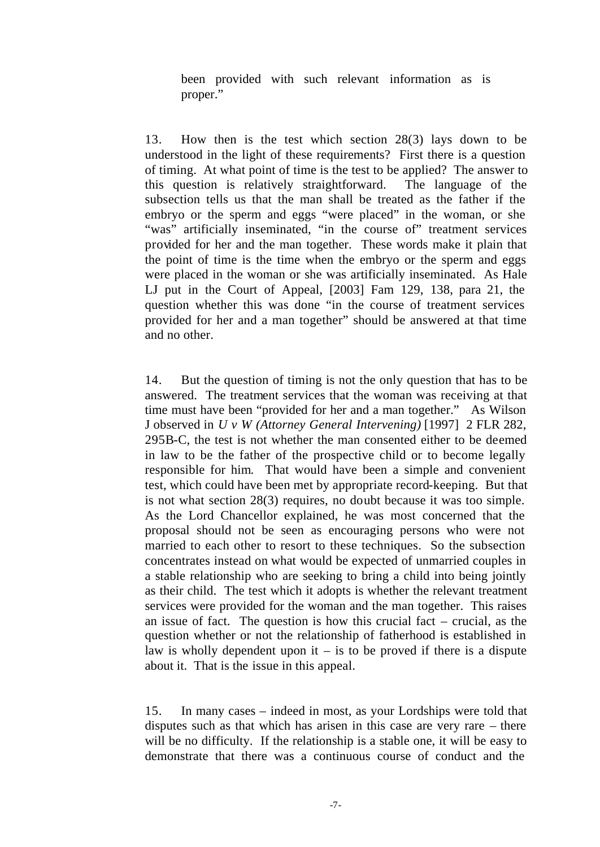been provided with such relevant information as is proper."

13. How then is the test which section 28(3) lays down to be understood in the light of these requirements? First there is a question of timing. At what point of time is the test to be applied? The answer to this question is relatively straightforward. The language of the subsection tells us that the man shall be treated as the father if the embryo or the sperm and eggs "were placed" in the woman, or she "was" artificially inseminated, "in the course of" treatment services provided for her and the man together. These words make it plain that the point of time is the time when the embryo or the sperm and eggs were placed in the woman or she was artificially inseminated. As Hale LJ put in the Court of Appeal, [2003] Fam 129, 138, para 21, the question whether this was done "in the course of treatment services provided for her and a man together" should be answered at that time and no other.

14. But the question of timing is not the only question that has to be answered. The treatment services that the woman was receiving at that time must have been "provided for her and a man together." As Wilson J observed in *U v W (Attorney General Intervening)* [1997] 2 FLR 282, 295B-C, the test is not whether the man consented either to be deemed in law to be the father of the prospective child or to become legally responsible for him. That would have been a simple and convenient test, which could have been met by appropriate record-keeping. But that is not what section 28(3) requires, no doubt because it was too simple. As the Lord Chancellor explained, he was most concerned that the proposal should not be seen as encouraging persons who were not married to each other to resort to these techniques. So the subsection concentrates instead on what would be expected of unmarried couples in a stable relationship who are seeking to bring a child into being jointly as their child. The test which it adopts is whether the relevant treatment services were provided for the woman and the man together. This raises an issue of fact. The question is how this crucial fact – crucial, as the question whether or not the relationship of fatherhood is established in law is wholly dependent upon it  $-$  is to be proved if there is a dispute about it. That is the issue in this appeal.

15. In many cases – indeed in most, as your Lordships were told that disputes such as that which has arisen in this case are very rare – there will be no difficulty. If the relationship is a stable one, it will be easy to demonstrate that there was a continuous course of conduct and the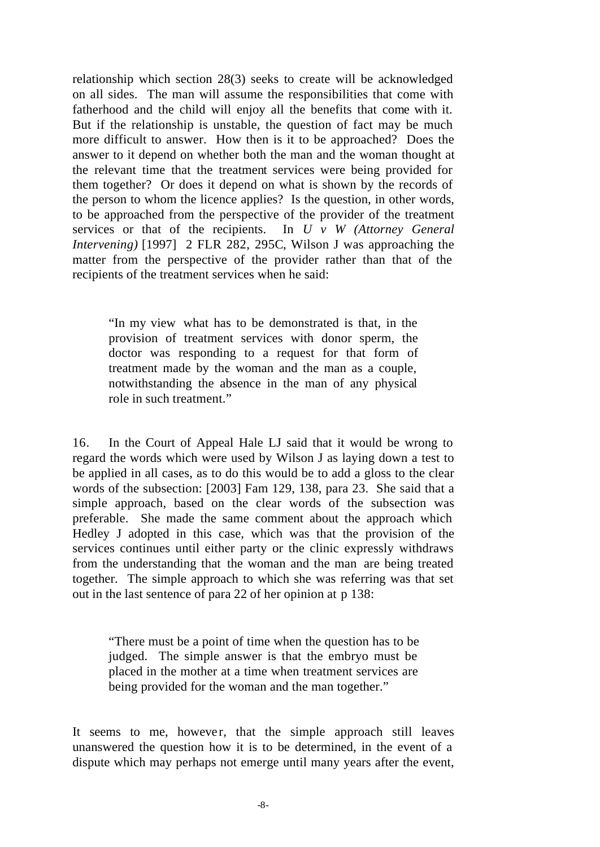relationship which section 28(3) seeks to create will be acknowledged on all sides. The man will assume the responsibilities that come with fatherhood and the child will enjoy all the benefits that come with it. But if the relationship is unstable, the question of fact may be much more difficult to answer. How then is it to be approached? Does the answer to it depend on whether both the man and the woman thought at the relevant time that the treatment services were being provided for them together? Or does it depend on what is shown by the records of the person to whom the licence applies? Is the question, in other words, to be approached from the perspective of the provider of the treatment services or that of the recipients. In *U v W (Attorney General Intervening)* [1997] 2 FLR 282, 295C, Wilson J was approaching the matter from the perspective of the provider rather than that of the recipients of the treatment services when he said:

"In my view what has to be demonstrated is that, in the provision of treatment services with donor sperm, the doctor was responding to a request for that form of treatment made by the woman and the man as a couple, notwithstanding the absence in the man of any physical role in such treatment."

16. In the Court of Appeal Hale LJ said that it would be wrong to regard the words which were used by Wilson J as laying down a test to be applied in all cases, as to do this would be to add a gloss to the clear words of the subsection: [2003] Fam 129, 138, para 23. She said that a simple approach, based on the clear words of the subsection was preferable. She made the same comment about the approach which Hedley J adopted in this case, which was that the provision of the services continues until either party or the clinic expressly withdraws from the understanding that the woman and the man are being treated together. The simple approach to which she was referring was that set out in the last sentence of para 22 of her opinion at p 138:

"There must be a point of time when the question has to be judged. The simple answer is that the embryo must be placed in the mother at a time when treatment services are being provided for the woman and the man together."

It seems to me, however, that the simple approach still leaves unanswered the question how it is to be determined, in the event of a dispute which may perhaps not emerge until many years after the event,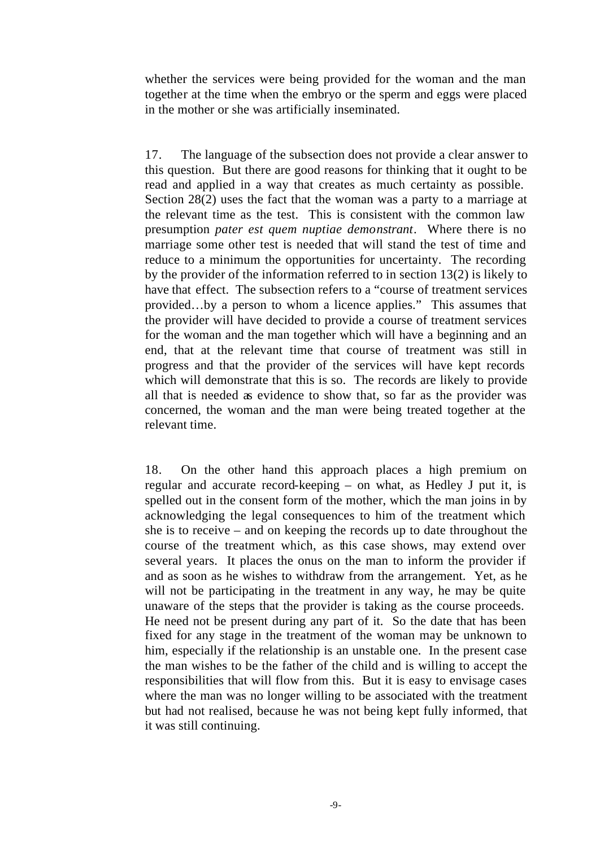whether the services were being provided for the woman and the man together at the time when the embryo or the sperm and eggs were placed in the mother or she was artificially inseminated.

17. The language of the subsection does not provide a clear answer to this question. But there are good reasons for thinking that it ought to be read and applied in a way that creates as much certainty as possible. Section 28(2) uses the fact that the woman was a party to a marriage at the relevant time as the test. This is consistent with the common law presumption *pater est quem nuptiae demonstrant*. Where there is no marriage some other test is needed that will stand the test of time and reduce to a minimum the opportunities for uncertainty. The recording by the provider of the information referred to in section 13(2) is likely to have that effect. The subsection refers to a "course of treatment services provided…by a person to whom a licence applies." This assumes that the provider will have decided to provide a course of treatment services for the woman and the man together which will have a beginning and an end, that at the relevant time that course of treatment was still in progress and that the provider of the services will have kept records which will demonstrate that this is so. The records are likely to provide all that is needed as evidence to show that, so far as the provider was concerned, the woman and the man were being treated together at the relevant time.

18. On the other hand this approach places a high premium on regular and accurate record-keeping – on what, as Hedley J put it, is spelled out in the consent form of the mother, which the man joins in by acknowledging the legal consequences to him of the treatment which she is to receive – and on keeping the records up to date throughout the course of the treatment which, as this case shows, may extend over several years. It places the onus on the man to inform the provider if and as soon as he wishes to withdraw from the arrangement. Yet, as he will not be participating in the treatment in any way, he may be quite unaware of the steps that the provider is taking as the course proceeds. He need not be present during any part of it. So the date that has been fixed for any stage in the treatment of the woman may be unknown to him, especially if the relationship is an unstable one. In the present case the man wishes to be the father of the child and is willing to accept the responsibilities that will flow from this. But it is easy to envisage cases where the man was no longer willing to be associated with the treatment but had not realised, because he was not being kept fully informed, that it was still continuing.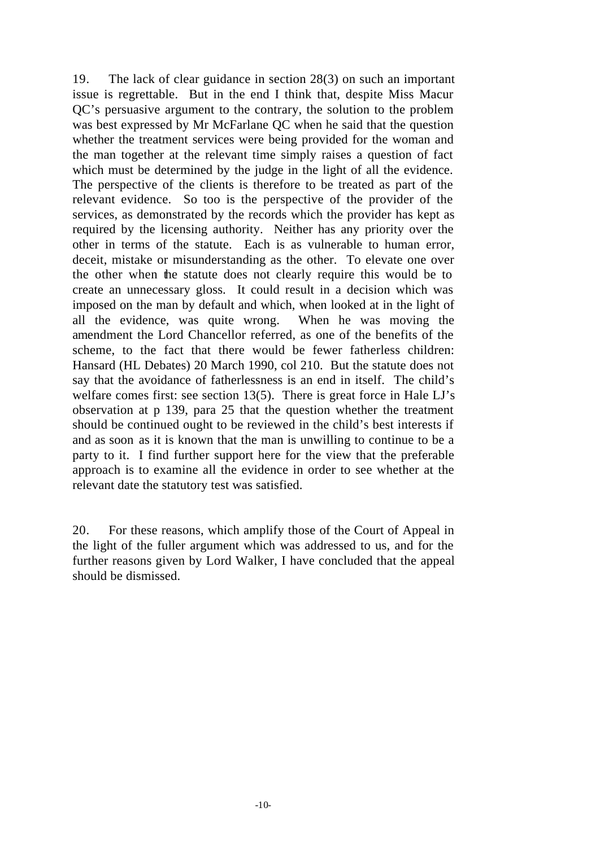19. The lack of clear guidance in section 28(3) on such an important issue is regrettable. But in the end I think that, despite Miss Macur QC's persuasive argument to the contrary, the solution to the problem was best expressed by Mr McFarlane QC when he said that the question whether the treatment services were being provided for the woman and the man together at the relevant time simply raises a question of fact which must be determined by the judge in the light of all the evidence. The perspective of the clients is therefore to be treated as part of the relevant evidence. So too is the perspective of the provider of the services, as demonstrated by the records which the provider has kept as required by the licensing authority. Neither has any priority over the other in terms of the statute. Each is as vulnerable to human error, deceit, mistake or misunderstanding as the other. To elevate one over the other when the statute does not clearly require this would be to create an unnecessary gloss. It could result in a decision which was imposed on the man by default and which, when looked at in the light of all the evidence, was quite wrong. When he was moving the amendment the Lord Chancellor referred, as one of the benefits of the scheme, to the fact that there would be fewer fatherless children: Hansard (HL Debates) 20 March 1990, col 210. But the statute does not say that the avoidance of fatherlessness is an end in itself. The child's welfare comes first: see section 13(5). There is great force in Hale LJ's observation at p 139, para 25 that the question whether the treatment should be continued ought to be reviewed in the child's best interests if and as soon as it is known that the man is unwilling to continue to be a party to it. I find further support here for the view that the preferable approach is to examine all the evidence in order to see whether at the relevant date the statutory test was satisfied.

20. For these reasons, which amplify those of the Court of Appeal in the light of the fuller argument which was addressed to us, and for the further reasons given by Lord Walker, I have concluded that the appeal should be dismissed.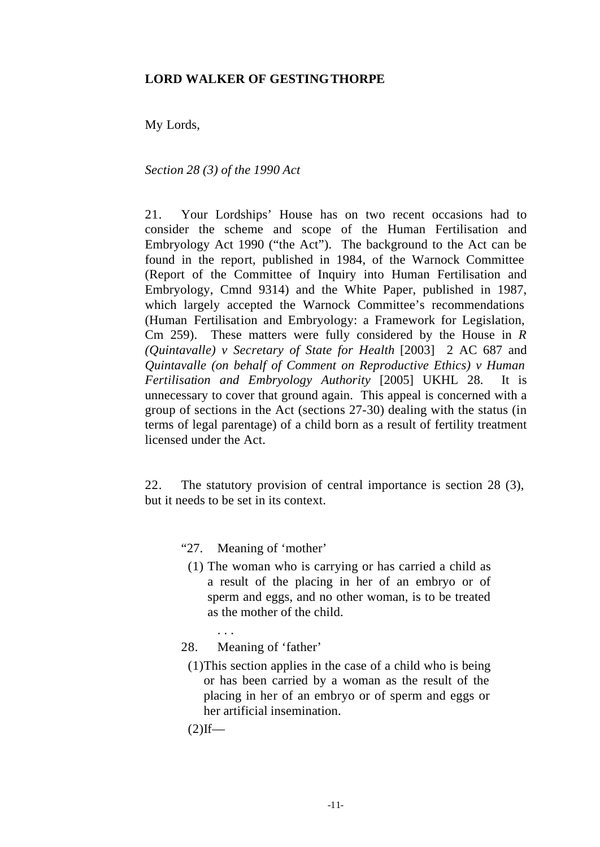#### **LORD WALKER OF GESTINGTHORPE**

My Lords,

*Section 28 (3) of the 1990 Act*

21. Your Lordships' House has on two recent occasions had to consider the scheme and scope of the Human Fertilisation and Embryology Act 1990 ("the Act"). The background to the Act can be found in the report, published in 1984, of the Warnock Committee (Report of the Committee of Inquiry into Human Fertilisation and Embryology, Cmnd 9314) and the White Paper, published in 1987, which largely accepted the Warnock Committee's recommendations (Human Fertilisation and Embryology: a Framework for Legislation, Cm 259). These matters were fully considered by the House in *R (Quintavalle) v Secretary of State for Health* [2003] 2 AC 687 and *Quintavalle (on behalf of Comment on Reproductive Ethics) v Human Fertilisation and Embryology Authority* [2005] UKHL 28. It is unnecessary to cover that ground again. This appeal is concerned with a group of sections in the Act (sections 27-30) dealing with the status (in terms of legal parentage) of a child born as a result of fertility treatment licensed under the Act.

22. The statutory provision of central importance is section 28 (3), but it needs to be set in its context.

"27. Meaning of 'mother'

- (1) The woman who is carrying or has carried a child as a result of the placing in her of an embryo or of sperm and eggs, and no other woman, is to be treated as the mother of the child.
- 28. Meaning of 'father'

. . .

(1)This section applies in the case of a child who is being or has been carried by a woman as the result of the placing in her of an embryo or of sperm and eggs or her artificial insemination.

 $(2)$ If—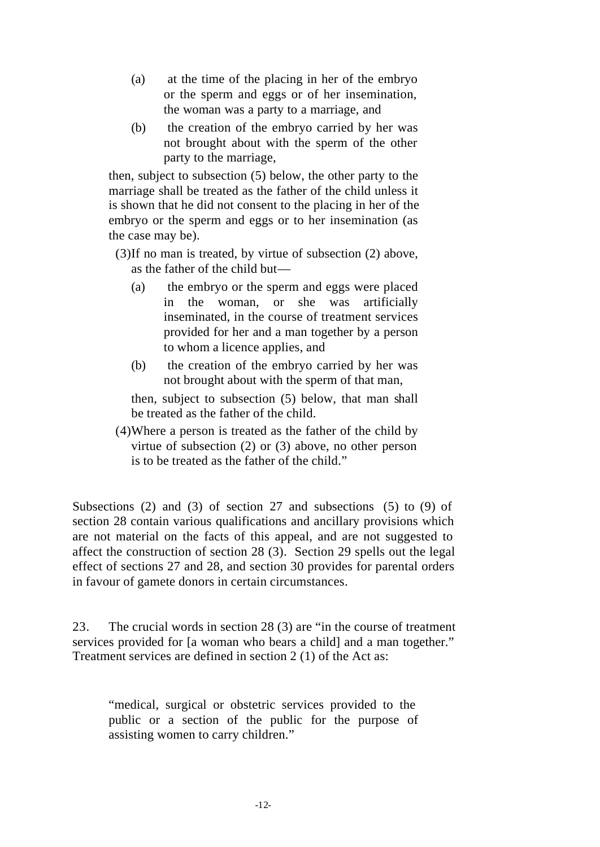- (a) at the time of the placing in her of the embryo or the sperm and eggs or of her insemination, the woman was a party to a marriage, and
- (b) the creation of the embryo carried by her was not brought about with the sperm of the other party to the marriage,

then, subject to subsection (5) below, the other party to the marriage shall be treated as the father of the child unless it is shown that he did not consent to the placing in her of the embryo or the sperm and eggs or to her insemination (as the case may be).

(3)If no man is treated, by virtue of subsection (2) above, as the father of the child but—

- (a) the embryo or the sperm and eggs were placed in the woman, or she was artificially inseminated, in the course of treatment services provided for her and a man together by a person to whom a licence applies, and
- (b) the creation of the embryo carried by her was not brought about with the sperm of that man,

then, subject to subsection (5) below, that man shall be treated as the father of the child.

(4)Where a person is treated as the father of the child by virtue of subsection (2) or (3) above, no other person is to be treated as the father of the child."

Subsections (2) and (3) of section 27 and subsections (5) to (9) of section 28 contain various qualifications and ancillary provisions which are not material on the facts of this appeal, and are not suggested to affect the construction of section 28 (3). Section 29 spells out the legal effect of sections 27 and 28, and section 30 provides for parental orders in favour of gamete donors in certain circumstances.

23. The crucial words in section 28 (3) are "in the course of treatment services provided for [a woman who bears a child] and a man together." Treatment services are defined in section 2 (1) of the Act as:

"medical, surgical or obstetric services provided to the public or a section of the public for the purpose of assisting women to carry children."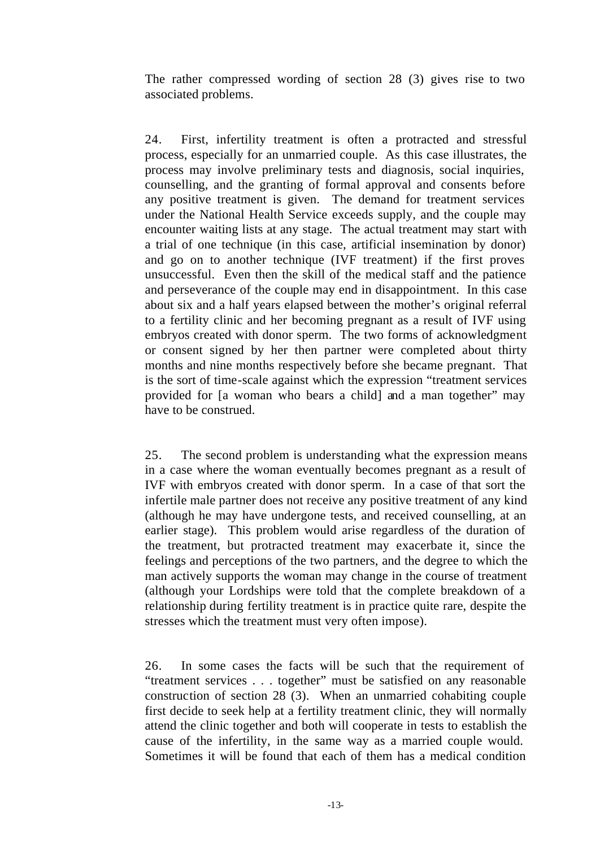The rather compressed wording of section 28 (3) gives rise to two associated problems.

24. First, infertility treatment is often a protracted and stressful process, especially for an unmarried couple. As this case illustrates, the process may involve preliminary tests and diagnosis, social inquiries, counselling, and the granting of formal approval and consents before any positive treatment is given. The demand for treatment services under the National Health Service exceeds supply, and the couple may encounter waiting lists at any stage. The actual treatment may start with a trial of one technique (in this case, artificial insemination by donor) and go on to another technique (IVF treatment) if the first proves unsuccessful. Even then the skill of the medical staff and the patience and perseverance of the couple may end in disappointment. In this case about six and a half years elapsed between the mother's original referral to a fertility clinic and her becoming pregnant as a result of IVF using embryos created with donor sperm. The two forms of acknowledgment or consent signed by her then partner were completed about thirty months and nine months respectively before she became pregnant. That is the sort of time-scale against which the expression "treatment services provided for [a woman who bears a child] and a man together" may have to be construed.

25. The second problem is understanding what the expression means in a case where the woman eventually becomes pregnant as a result of IVF with embryos created with donor sperm. In a case of that sort the infertile male partner does not receive any positive treatment of any kind (although he may have undergone tests, and received counselling, at an earlier stage). This problem would arise regardless of the duration of the treatment, but protracted treatment may exacerbate it, since the feelings and perceptions of the two partners, and the degree to which the man actively supports the woman may change in the course of treatment (although your Lordships were told that the complete breakdown of a relationship during fertility treatment is in practice quite rare, despite the stresses which the treatment must very often impose).

26. In some cases the facts will be such that the requirement of "treatment services . . . together" must be satisfied on any reasonable construction of section 28 (3). When an unmarried cohabiting couple first decide to seek help at a fertility treatment clinic, they will normally attend the clinic together and both will cooperate in tests to establish the cause of the infertility, in the same way as a married couple would. Sometimes it will be found that each of them has a medical condition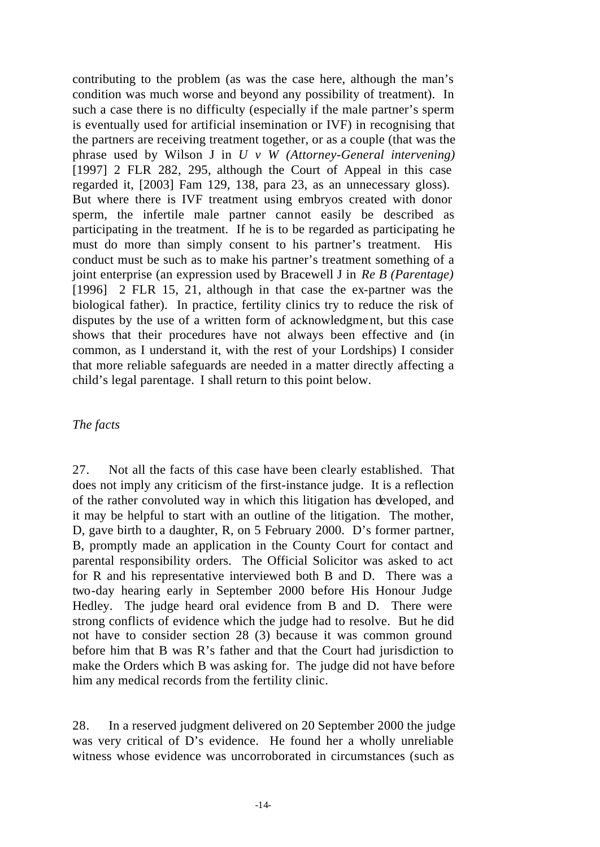contributing to the problem (as was the case here, although the man's condition was much worse and beyond any possibility of treatment). In such a case there is no difficulty (especially if the male partner's sperm is eventually used for artificial insemination or IVF) in recognising that the partners are receiving treatment together, or as a couple (that was the phrase used by Wilson J in *U v W (Attorney-General intervening)* [1997] 2 FLR 282, 295, although the Court of Appeal in this case regarded it, [2003] Fam 129, 138, para 23, as an unnecessary gloss). But where there is IVF treatment using embryos created with donor sperm, the infertile male partner cannot easily be described as participating in the treatment. If he is to be regarded as participating he must do more than simply consent to his partner's treatment. His conduct must be such as to make his partner's treatment something of a joint enterprise (an expression used by Bracewell J in *Re B (Parentage)*  [1996] 2 FLR 15, 21, although in that case the ex-partner was the biological father). In practice, fertility clinics try to reduce the risk of disputes by the use of a written form of acknowledgment, but this case shows that their procedures have not always been effective and (in common, as I understand it, with the rest of your Lordships) I consider that more reliable safeguards are needed in a matter directly affecting a child's legal parentage. I shall return to this point below.

# *The facts*

27. Not all the facts of this case have been clearly established. That does not imply any criticism of the first-instance judge. It is a reflection of the rather convoluted way in which this litigation has developed, and it may be helpful to start with an outline of the litigation. The mother, D, gave birth to a daughter, R, on 5 February 2000. D's former partner, B, promptly made an application in the County Court for contact and parental responsibility orders. The Official Solicitor was asked to act for R and his representative interviewed both B and D. There was a two-day hearing early in September 2000 before His Honour Judge Hedley. The judge heard oral evidence from B and D. There were strong conflicts of evidence which the judge had to resolve. But he did not have to consider section 28 (3) because it was common ground before him that B was R's father and that the Court had jurisdiction to make the Orders which B was asking for. The judge did not have before him any medical records from the fertility clinic.

28. In a reserved judgment delivered on 20 September 2000 the judge was very critical of D's evidence. He found her a wholly unreliable witness whose evidence was uncorroborated in circumstances (such as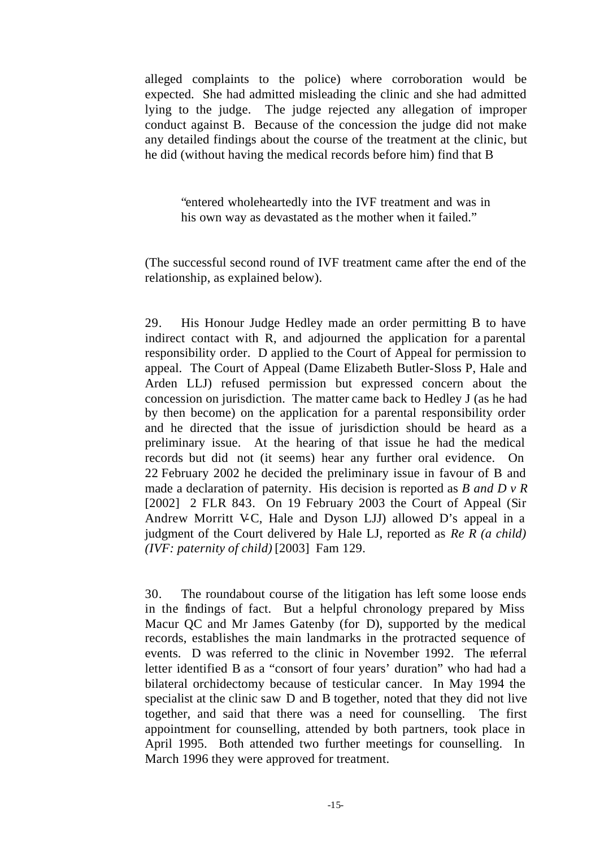alleged complaints to the police) where corroboration would be expected. She had admitted misleading the clinic and she had admitted lying to the judge. The judge rejected any allegation of improper conduct against B. Because of the concession the judge did not make any detailed findings about the course of the treatment at the clinic, but he did (without having the medical records before him) find that B

"entered wholeheartedly into the IVF treatment and was in his own way as devastated as the mother when it failed."

(The successful second round of IVF treatment came after the end of the relationship, as explained below).

29. His Honour Judge Hedley made an order permitting B to have indirect contact with R, and adjourned the application for a parental responsibility order. D applied to the Court of Appeal for permission to appeal. The Court of Appeal (Dame Elizabeth Butler-Sloss P, Hale and Arden LLJ) refused permission but expressed concern about the concession on jurisdiction. The matter came back to Hedley J (as he had by then become) on the application for a parental responsibility order and he directed that the issue of jurisdiction should be heard as a preliminary issue. At the hearing of that issue he had the medical records but did not (it seems) hear any further oral evidence. On 22 February 2002 he decided the preliminary issue in favour of B and made a declaration of paternity. His decision is reported as *B and D v R* [2002] 2 FLR 843. On 19 February 2003 the Court of Appeal (Sir Andrew Morritt VC, Hale and Dyson LJJ) allowed D's appeal in a judgment of the Court delivered by Hale LJ, reported as *Re R (a child) (IVF: paternity of child)* [2003] Fam 129.

30. The roundabout course of the litigation has left some loose ends in the findings of fact. But a helpful chronology prepared by Miss Macur QC and Mr James Gatenby (for D), supported by the medical records, establishes the main landmarks in the protracted sequence of events. D was referred to the clinic in November 1992. The referral letter identified B as a "consort of four years' duration" who had had a bilateral orchidectomy because of testicular cancer. In May 1994 the specialist at the clinic saw D and B together, noted that they did not live together, and said that there was a need for counselling. The first appointment for counselling, attended by both partners, took place in April 1995. Both attended two further meetings for counselling. In March 1996 they were approved for treatment.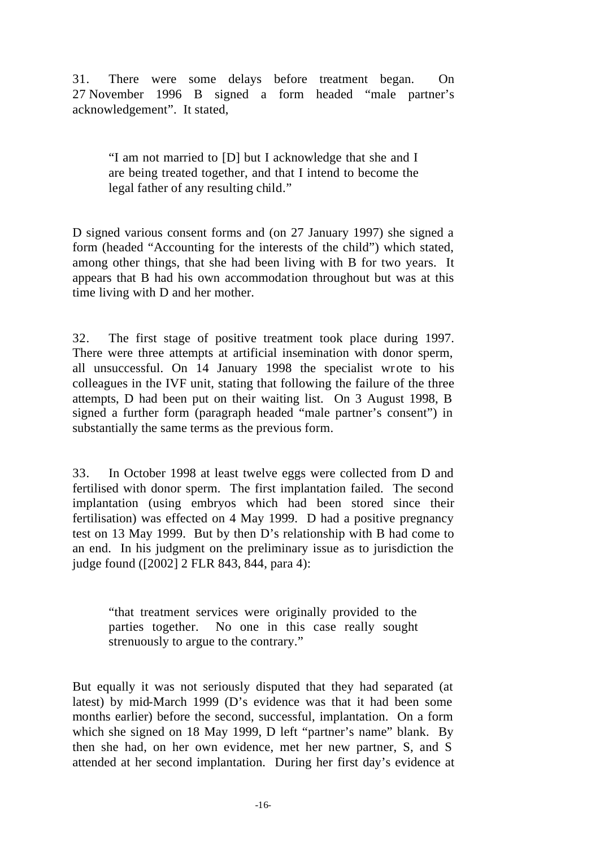31. There were some delays before treatment began. On 27 November 1996 B signed a form headed "male partner's acknowledgement". It stated,

"I am not married to [D] but I acknowledge that she and I are being treated together, and that I intend to become the legal father of any resulting child."

D signed various consent forms and (on 27 January 1997) she signed a form (headed "Accounting for the interests of the child") which stated, among other things, that she had been living with B for two years. It appears that B had his own accommodation throughout but was at this time living with D and her mother.

32. The first stage of positive treatment took place during 1997. There were three attempts at artificial insemination with donor sperm, all unsuccessful. On 14 January 1998 the specialist wrote to his colleagues in the IVF unit, stating that following the failure of the three attempts, D had been put on their waiting list. On 3 August 1998, B signed a further form (paragraph headed "male partner's consent") in substantially the same terms as the previous form.

33. In October 1998 at least twelve eggs were collected from D and fertilised with donor sperm. The first implantation failed. The second implantation (using embryos which had been stored since their fertilisation) was effected on 4 May 1999. D had a positive pregnancy test on 13 May 1999. But by then D's relationship with B had come to an end. In his judgment on the preliminary issue as to jurisdiction the judge found ([2002] 2 FLR 843, 844, para 4):

"that treatment services were originally provided to the parties together. No one in this case really sought strenuously to argue to the contrary."

But equally it was not seriously disputed that they had separated (at latest) by mid-March 1999 (D's evidence was that it had been some months earlier) before the second, successful, implantation. On a form which she signed on 18 May 1999, D left "partner's name" blank. By then she had, on her own evidence, met her new partner, S, and S attended at her second implantation. During her first day's evidence at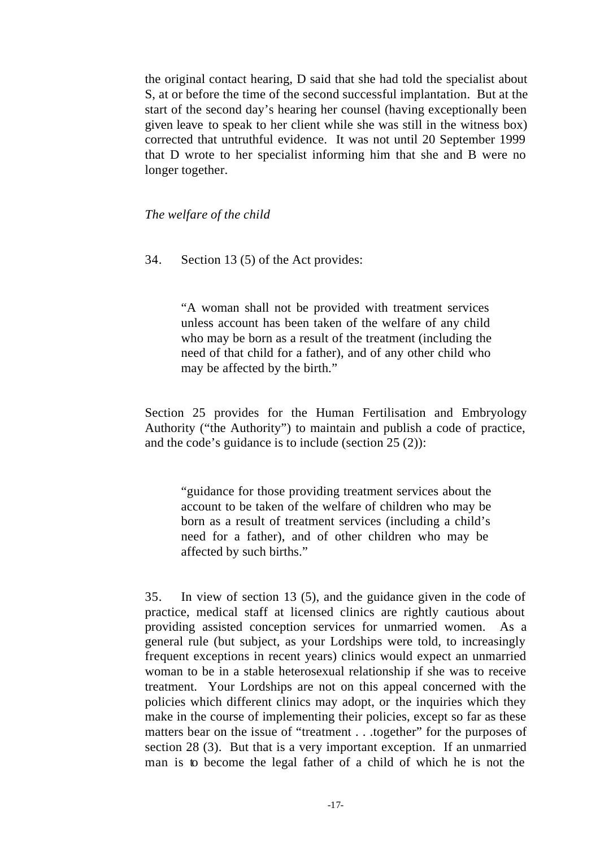the original contact hearing, D said that she had told the specialist about S, at or before the time of the second successful implantation. But at the start of the second day's hearing her counsel (having exceptionally been given leave to speak to her client while she was still in the witness box) corrected that untruthful evidence. It was not until 20 September 1999 that D wrote to her specialist informing him that she and B were no longer together.

*The welfare of the child*

34. Section 13 (5) of the Act provides:

"A woman shall not be provided with treatment services unless account has been taken of the welfare of any child who may be born as a result of the treatment (including the need of that child for a father), and of any other child who may be affected by the birth."

Section 25 provides for the Human Fertilisation and Embryology Authority ("the Authority") to maintain and publish a code of practice, and the code's guidance is to include (section 25 (2)):

"guidance for those providing treatment services about the account to be taken of the welfare of children who may be born as a result of treatment services (including a child's need for a father), and of other children who may be affected by such births."

35. In view of section 13 (5), and the guidance given in the code of practice, medical staff at licensed clinics are rightly cautious about providing assisted conception services for unmarried women. As a general rule (but subject, as your Lordships were told, to increasingly frequent exceptions in recent years) clinics would expect an unmarried woman to be in a stable heterosexual relationship if she was to receive treatment. Your Lordships are not on this appeal concerned with the policies which different clinics may adopt, or the inquiries which they make in the course of implementing their policies, except so far as these matters bear on the issue of "treatment . . .together" for the purposes of section 28 (3). But that is a very important exception. If an unmarried man is to become the legal father of a child of which he is not the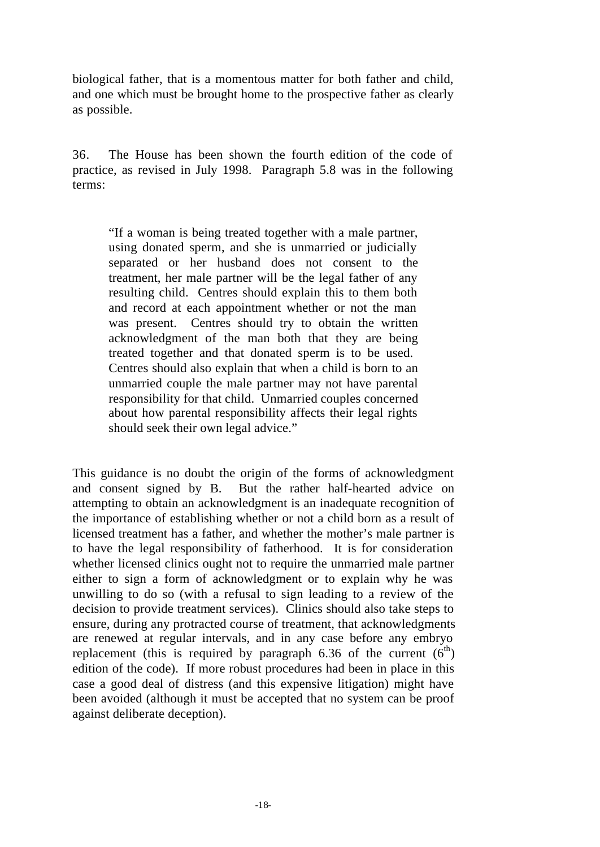biological father, that is a momentous matter for both father and child, and one which must be brought home to the prospective father as clearly as possible.

36. The House has been shown the fourth edition of the code of practice, as revised in July 1998. Paragraph 5.8 was in the following terms:

"If a woman is being treated together with a male partner, using donated sperm, and she is unmarried or judicially separated or her husband does not consent to the treatment, her male partner will be the legal father of any resulting child. Centres should explain this to them both and record at each appointment whether or not the man was present. Centres should try to obtain the written acknowledgment of the man both that they are being treated together and that donated sperm is to be used. Centres should also explain that when a child is born to an unmarried couple the male partner may not have parental responsibility for that child. Unmarried couples concerned about how parental responsibility affects their legal rights should seek their own legal advice."

This guidance is no doubt the origin of the forms of acknowledgment and consent signed by B. But the rather half-hearted advice on attempting to obtain an acknowledgment is an inadequate recognition of the importance of establishing whether or not a child born as a result of licensed treatment has a father, and whether the mother's male partner is to have the legal responsibility of fatherhood. It is for consideration whether licensed clinics ought not to require the unmarried male partner either to sign a form of acknowledgment or to explain why he was unwilling to do so (with a refusal to sign leading to a review of the decision to provide treatment services). Clinics should also take steps to ensure, during any protracted course of treatment, that acknowledgments are renewed at regular intervals, and in any case before any embryo replacement (this is required by paragraph 6.36 of the current  $(6<sup>th</sup>)$ edition of the code). If more robust procedures had been in place in this case a good deal of distress (and this expensive litigation) might have been avoided (although it must be accepted that no system can be proof against deliberate deception).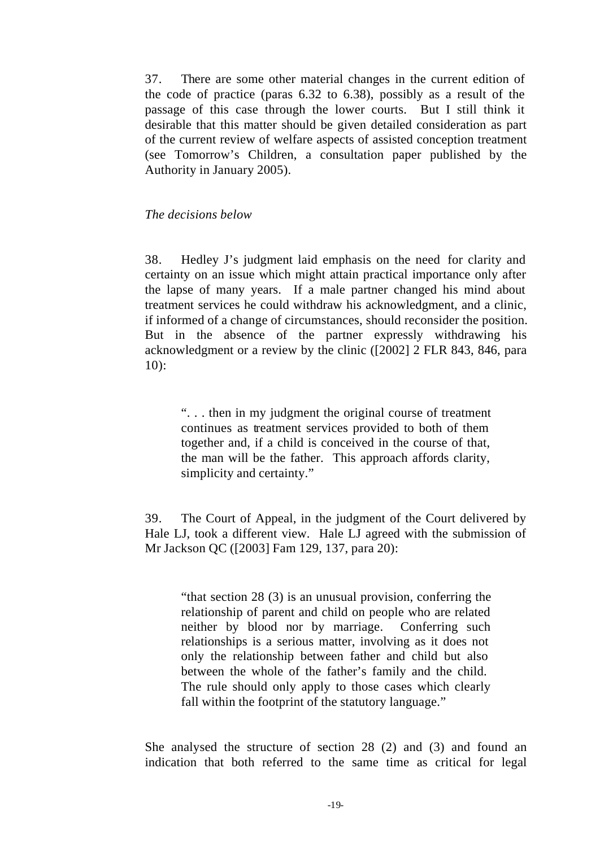37. There are some other material changes in the current edition of the code of practice (paras 6.32 to 6.38), possibly as a result of the passage of this case through the lower courts. But I still think it desirable that this matter should be given detailed consideration as part of the current review of welfare aspects of assisted conception treatment (see Tomorrow's Children, a consultation paper published by the Authority in January 2005).

#### *The decisions below*

38. Hedley J's judgment laid emphasis on the need for clarity and certainty on an issue which might attain practical importance only after the lapse of many years. If a male partner changed his mind about treatment services he could withdraw his acknowledgment, and a clinic, if informed of a change of circumstances, should reconsider the position. But in the absence of the partner expressly withdrawing his acknowledgment or a review by the clinic ([2002] 2 FLR 843, 846, para 10):

". . . then in my judgment the original course of treatment continues as treatment services provided to both of them together and, if a child is conceived in the course of that, the man will be the father. This approach affords clarity, simplicity and certainty."

39. The Court of Appeal, in the judgment of the Court delivered by Hale LJ, took a different view. Hale LJ agreed with the submission of Mr Jackson QC ([2003] Fam 129, 137, para 20):

"that section 28 (3) is an unusual provision, conferring the relationship of parent and child on people who are related neither by blood nor by marriage. Conferring such relationships is a serious matter, involving as it does not only the relationship between father and child but also between the whole of the father's family and the child. The rule should only apply to those cases which clearly fall within the footprint of the statutory language."

She analysed the structure of section 28 (2) and (3) and found an indication that both referred to the same time as critical for legal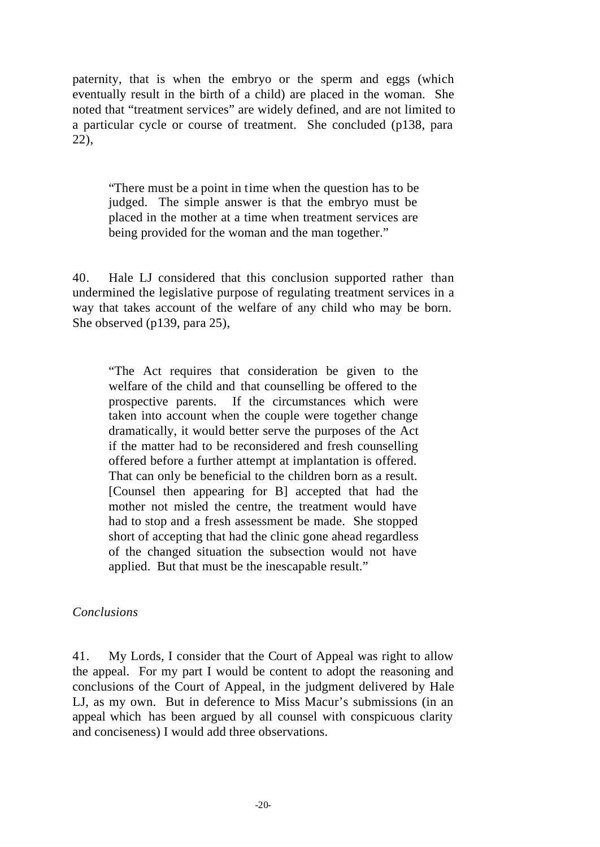paternity, that is when the embryo or the sperm and eggs (which eventually result in the birth of a child) are placed in the woman. She noted that "treatment services" are widely defined, and are not limited to a particular cycle or course of treatment. She concluded (p138, para 22),

"There must be a point in time when the question has to be judged. The simple answer is that the embryo must be placed in the mother at a time when treatment services are being provided for the woman and the man together."

40. Hale LJ considered that this conclusion supported rather than undermined the legislative purpose of regulating treatment services in a way that takes account of the welfare of any child who may be born. She observed (p139, para 25),

"The Act requires that consideration be given to the welfare of the child and that counselling be offered to the prospective parents. If the circumstances which were taken into account when the couple were together change dramatically, it would better serve the purposes of the Act if the matter had to be reconsidered and fresh counselling offered before a further attempt at implantation is offered. That can only be beneficial to the children born as a result. [Counsel then appearing for B] accepted that had the mother not misled the centre, the treatment would have had to stop and a fresh assessment be made. She stopped short of accepting that had the clinic gone ahead regardless of the changed situation the subsection would not have applied. But that must be the inescapable result."

# *Conclusions*

41. My Lords, I consider that the Court of Appeal was right to allow the appeal. For my part I would be content to adopt the reasoning and conclusions of the Court of Appeal, in the judgment delivered by Hale LJ, as my own. But in deference to Miss Macur's submissions (in an appeal which has been argued by all counsel with conspicuous clarity and conciseness) I would add three observations.